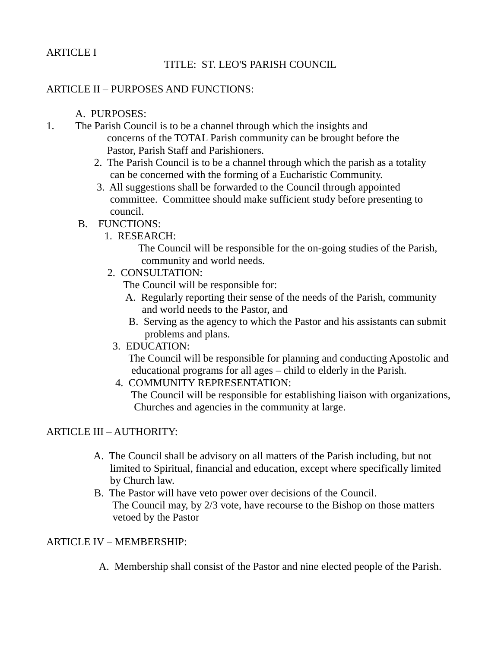## ARTICLE I

# TITLE: ST. LEO'S PARISH COUNCIL

# ARTICLE II – PURPOSES AND FUNCTIONS:

#### A. PURPOSES:

- 1. The Parish Council is to be a channel through which the insights and concerns of the TOTAL Parish community can be brought before the Pastor, Parish Staff and Parishioners.
	- 2. The Parish Council is to be a channel through which the parish as a totality can be concerned with the forming of a Eucharistic Community.
	- 3. All suggestions shall be forwarded to the Council through appointed committee. Committee should make sufficient study before presenting to council.

#### B. FUNCTIONS:

1. RESEARCH:

 The Council will be responsible for the on-going studies of the Parish, community and world needs.

2. CONSULTATION:

The Council will be responsible for:

- A. Regularly reporting their sense of the needs of the Parish, community and world needs to the Pastor, and
- B. Serving as the agency to which the Pastor and his assistants can submit problems and plans.
- 3. EDUCATION:

 The Council will be responsible for planning and conducting Apostolic and educational programs for all ages – child to elderly in the Parish.

4. COMMUNITY REPRESENTATION:

 The Council will be responsible for establishing liaison with organizations, Churches and agencies in the community at large.

### ARTICLE III – AUTHORITY:

- A. The Council shall be advisory on all matters of the Parish including, but not limited to Spiritual, financial and education, except where specifically limited by Church law.
- B. The Pastor will have veto power over decisions of the Council. The Council may, by 2/3 vote, have recourse to the Bishop on those matters vetoed by the Pastor

### ARTICLE IV – MEMBERSHIP:

A. Membership shall consist of the Pastor and nine elected people of the Parish.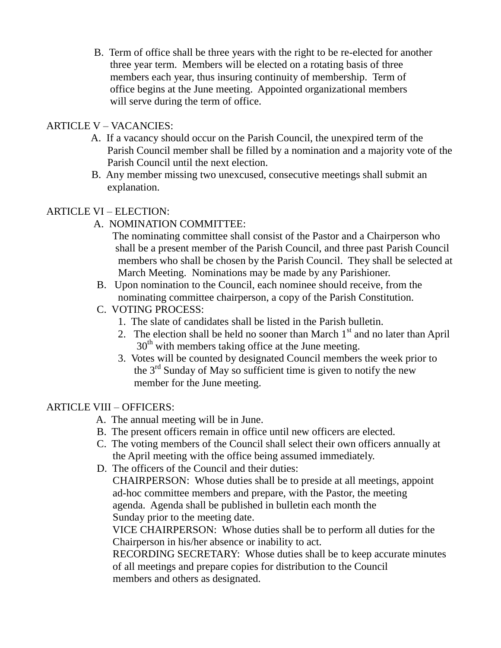B. Term of office shall be three years with the right to be re-elected for another three year term. Members will be elected on a rotating basis of three members each year, thus insuring continuity of membership. Term of office begins at the June meeting. Appointed organizational members will serve during the term of office.

### ARTICLE V – VACANCIES:

- A. If a vacancy should occur on the Parish Council, the unexpired term of the Parish Council member shall be filled by a nomination and a majority vote of the Parish Council until the next election.
- B. Any member missing two unexcused, consecutive meetings shall submit an explanation.

## ARTICLE VI – ELECTION:

- A. NOMINATION COMMITTEE:
	- The nominating committee shall consist of the Pastor and a Chairperson who shall be a present member of the Parish Council, and three past Parish Council members who shall be chosen by the Parish Council. They shall be selected at March Meeting. Nominations may be made by any Parishioner.
- B. Upon nomination to the Council, each nominee should receive, from the nominating committee chairperson, a copy of the Parish Constitution.
- C. VOTING PROCESS:
	- 1. The slate of candidates shall be listed in the Parish bulletin.
	- 2. The election shall be held no sooner than March  $1<sup>st</sup>$  and no later than April  $30<sup>th</sup>$  with members taking office at the June meeting.
	- 3. Votes will be counted by designated Council members the week prior to the  $3<sup>rd</sup>$  Sunday of May so sufficient time is given to notify the new member for the June meeting.

# ARTICLE VIII – OFFICERS:

- A. The annual meeting will be in June.
- B. The present officers remain in office until new officers are elected.
- C. The voting members of the Council shall select their own officers annually at the April meeting with the office being assumed immediately.
- D. The officers of the Council and their duties:

 CHAIRPERSON: Whose duties shall be to preside at all meetings, appoint ad-hoc committee members and prepare, with the Pastor, the meeting agenda. Agenda shall be published in bulletin each month the Sunday prior to the meeting date.

 VICE CHAIRPERSON: Whose duties shall be to perform all duties for the Chairperson in his/her absence or inability to act.

 RECORDING SECRETARY: Whose duties shall be to keep accurate minutes of all meetings and prepare copies for distribution to the Council members and others as designated.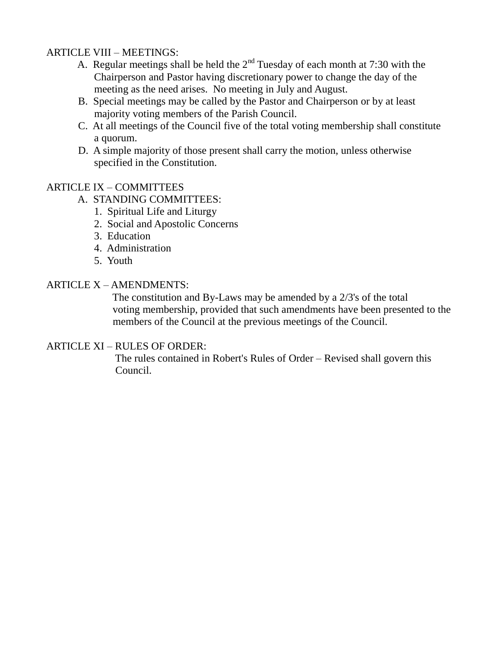### ARTICLE VIII – MEETINGS:

- A. Regular meetings shall be held the  $2<sup>nd</sup>$  Tuesday of each month at 7:30 with the Chairperson and Pastor having discretionary power to change the day of the meeting as the need arises. No meeting in July and August.
- B. Special meetings may be called by the Pastor and Chairperson or by at least majority voting members of the Parish Council.
- C. At all meetings of the Council five of the total voting membership shall constitute a quorum.
- D. A simple majority of those present shall carry the motion, unless otherwise specified in the Constitution.

#### ARTICLE IX – COMMITTEES

- A. STANDING COMMITTEES:
	- 1. Spiritual Life and Liturgy
	- 2. Social and Apostolic Concerns
	- 3. Education
	- 4. Administration
	- 5. Youth

# ARTICLE X – AMENDMENTS:

 The constitution and By-Laws may be amended by a 2/3's of the total voting membership, provided that such amendments have been presented to the members of the Council at the previous meetings of the Council.

#### ARTICLE XI – RULES OF ORDER:

 The rules contained in Robert's Rules of Order – Revised shall govern this Council.